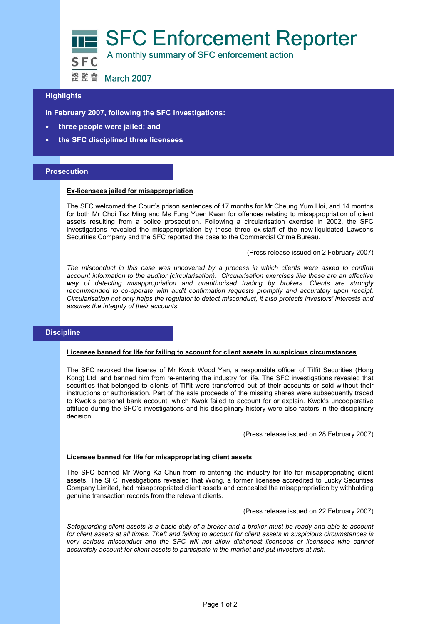

# **Highlights**

**In February 2007, following the SFC investigations:** 

- **three people were jailed; and**
- **the SFC disciplined three licensees**

## **Prosecution**

#### **Ex-licensees jailed for misappropriation**

The SFC welcomed the Court's prison sentences of 17 months for Mr Cheung Yum Hoi, and 14 months for both Mr Choi Tsz Ming and Ms Fung Yuen Kwan for offences relating to misappropriation of client assets resulting from a police prosecution. Following a circularisation exercise in 2002, the SFC investigations revealed the misappropriation by these three ex-staff of the now-liquidated Lawsons Securities Company and the SFC reported the case to the Commercial Crime Bureau.

(Press release issued on 2 February 2007)

*The misconduct in this case was uncovered by a process in which clients were asked to confirm account information to the auditor (circularisation). Circularisation exercises like these are an effective way of detecting misappropriation and unauthorised trading by brokers. Clients are strongly recommended to co-operate with audit confirmation requests promptly and accurately upon receipt. Circularisation not only helps the regulator to detect misconduct, it also protects investors' interests and assures the integrity of their accounts.*

# **Discipline**

## **Licensee banned for life for failing to account for client assets in suspicious circumstances**

The SFC revoked the license of Mr Kwok Wood Yan, a responsible officer of Tiffit Securities (Hong Kong) Ltd, and banned him from re-entering the industry for life. The SFC investigations revealed that securities that belonged to clients of Tiffit were transferred out of their accounts or sold without their instructions or authorisation. Part of the sale proceeds of the missing shares were subsequently traced to Kwok's personal bank account, which Kwok failed to account for or explain. Kwok's uncooperative attitude during the SFC's investigations and his disciplinary history were also factors in the disciplinary decision.

(Press release issued on 28 February 2007)

#### **Licensee banned for life for misappropriating client assets**

The SFC banned Mr Wong Ka Chun from re-entering the industry for life for misappropriating client assets. The SFC investigations revealed that Wong, a former licensee accredited to Lucky Securities Company Limited, had misappropriated client assets and concealed the misappropriation by withholding genuine transaction records from the relevant clients.

(Press release issued on 22 February 2007)

*Safeguarding client assets is a basic duty of a broker and a broker must be ready and able to account for client assets at all times. Theft and failing to account for client assets in suspicious circumstances is very serious misconduct and the SFC will not allow dishonest licensees or licensees who cannot accurately account for client assets to participate in the market and put investors at risk.*